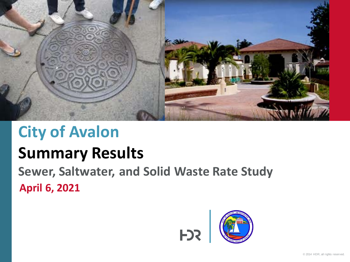

# **City of Avalon**

# **Summary Results**

**April 6, 2021 Sewer, Saltwater, and Solid Waste Rate Study**

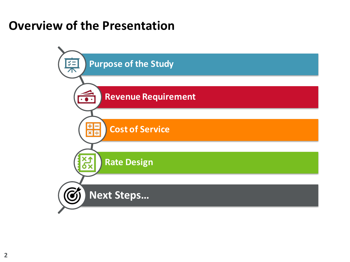#### **Overview of the Presentation**

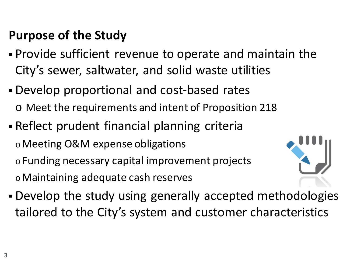### **Purpose of the Study**

- Provide sufficient revenue to operate and maintain the City's sewer, saltwater, and solid waste utilities
- Develop proportional and cost-based rates o Meet the requirements and intent of Proposition 218
- Reflect prudent financial planning criteria o Meeting O&M expense obligations o Funding necessary capital improvement projects o Maintaining adequate cash reserves



 Develop the study using generally accepted methodologies tailored to the City's system and customer characteristics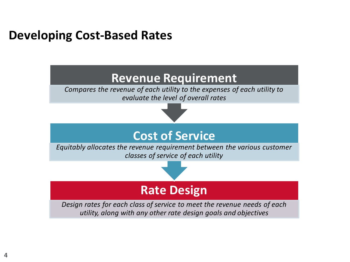#### **Developing Cost-Based Rates**

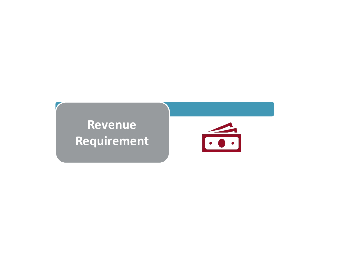**Revenue Requirement**

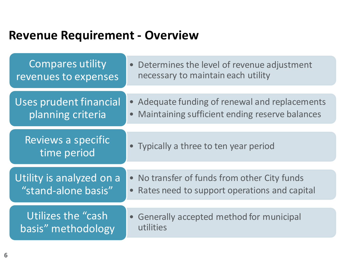#### **Revenue Requirement - Overview**

| Compares utility<br>revenues to expenses        | • Determines the level of revenue adjustment<br>necessary to maintain each utility                            |
|-------------------------------------------------|---------------------------------------------------------------------------------------------------------------|
| Uses prudent financial<br>planning criteria     | • Adequate funding of renewal and replacements<br>Maintaining sufficient ending reserve balances<br>$\bullet$ |
| Reviews a specific<br>time period               | • Typically a three to ten year period                                                                        |
| Utility is analyzed on a<br>"stand-alone basis" | • No transfer of funds from other City funds<br>Rates need to support operations and capital<br>$\bullet$     |
| Utilizes the "cash"<br>basis" methodology       | • Generally accepted method for municipal<br>utilities                                                        |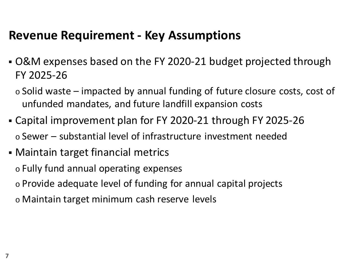#### **Revenue Requirement - Key Assumptions**

- O&M expenses based on the FY 2020-21 budget projected through FY 2025-26
	- $\circ$  Solid waste impacted by annual funding of future closure costs, cost of unfunded mandates, and future landfill expansion costs
- Capital improvement plan for FY 2020-21 through FY 2025-26 o Sewer – substantial level of infrastructure investment needed
- Maintain target financial metrics
	- o Fully fund annual operating expenses
	- o Provide adequate level of funding for annual capital projects
	- o Maintain target minimum cash reserve levels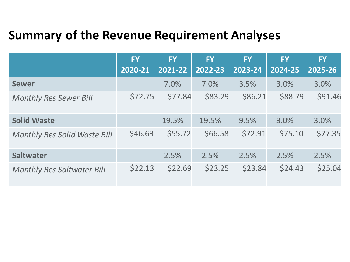### **Summary of the Revenue Requirement Analyses**

|                                     | <b>FY</b><br>2020-21 | <b>FY</b><br>2021-22 | <b>FY</b><br>2022-23 | <b>FY</b><br>2023-24 | <b>FY</b><br>2024-25 | <b>FY</b><br>2025-26 |
|-------------------------------------|----------------------|----------------------|----------------------|----------------------|----------------------|----------------------|
| <b>Sewer</b>                        |                      | 7.0%                 | 7.0%                 | 3.5%                 | 3.0%                 | 3.0%                 |
| <b>Monthly Res Sewer Bill</b>       | \$72.75              | \$77.84              | \$83.29              | \$86.21              | \$88.79              | \$91.46              |
| <b>Solid Waste</b>                  |                      | 19.5%                | 19.5%                | 9.5%                 | 3.0%                 | 3.0%                 |
| <b>Monthly Res Solid Waste Bill</b> | \$46.63              | \$55.72              | \$66.58              | \$72.91              | \$75.10              | \$77.35              |
| <b>Saltwater</b>                    |                      | 2.5%                 | 2.5%                 | 2.5%                 | 2.5%                 | 2.5%                 |
| <b>Monthly Res Saltwater Bill</b>   | \$22.13              | \$22.69              | \$23.25              | \$23.84              | \$24.43              | \$25.04              |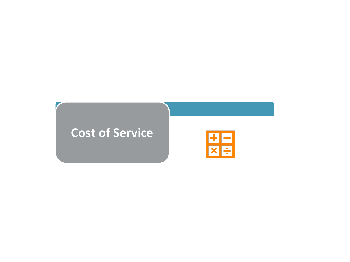#### **Cost of Service**

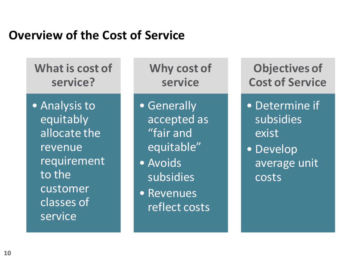#### **Overview of the Cost of Service**

**What is cost of service?**

• Analysis to equitably allocate the revenue requirement to the customer classes of service

**Why cost of service**

• Generally accepted as "fair and equitable"

- Avoids subsidies
- Revenues reflect costs

**Objectives of Cost of Service**

• Determine if subsidies exist

• Develop average unit costs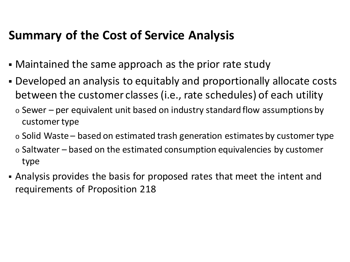#### **Summary of the Cost of Service Analysis**

- Maintained the same approach as the prior rate study
- Developed an analysis to equitably and proportionally allocate costs between the customer classes (i.e., rate schedules) of each utility
	- $\circ$  Sewer per equivalent unit based on industry standard flow assumptions by customer type
	- $\circ$  Solid Waste based on estimated trash generation estimates by customer type
	- $\circ$  Saltwater based on the estimated consumption equivalencies by customer type
- Analysis provides the basis for proposed rates that meet the intent and requirements of Proposition 218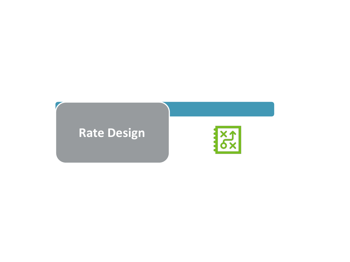## **Rate Design**

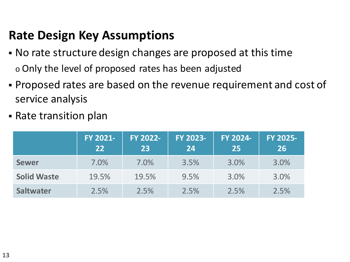### **Rate Design Key Assumptions**

- No rate structure design changes are proposed at this time o Only the level of proposed rates has been adjusted
- Proposed rates are based on the revenue requirement and cost of service analysis
- Rate transition plan

|                    | FY 2021-<br>22 | FY 2022-<br>23 | FY 2023-<br>24 | FY 2024-<br>25 | FY 2025-<br>26 |
|--------------------|----------------|----------------|----------------|----------------|----------------|
| <b>Sewer</b>       | 7.0%           | 7.0%           | 3.5%           | 3.0%           | 3.0%           |
| <b>Solid Waste</b> | 19.5%          | 19.5%          | 9.5%           | 3.0%           | 3.0%           |
| <b>Saltwater</b>   | 2.5%           | 2.5%           | 2.5%           | 2.5%           | 2.5%           |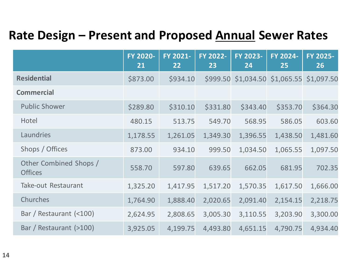### **Rate Design – Present and Proposed Annual Sewer Rates**

|                                          | FY 2020-<br>21 | FY 2021-<br>22 | <b>FY 2022-</b><br>23 | FY 2023-<br>24 | FY 2024-<br>25 | FY 2025-<br>26 |
|------------------------------------------|----------------|----------------|-----------------------|----------------|----------------|----------------|
| <b>Residential</b>                       | \$873.00       | \$934.10       | \$999.50              | \$1,034.50     | \$1,065.55     | \$1,097.50     |
| <b>Commercial</b>                        |                |                |                       |                |                |                |
| <b>Public Shower</b>                     | \$289.80       | \$310.10       | \$331.80              | \$343.40       | \$353.70       | \$364.30       |
| Hotel                                    | 480.15         | 513.75         | 549.70                | 568.95         | 586.05         | 603.60         |
| Laundries                                | 1,178.55       | 1,261.05       | 1,349.30              | 1,396.55       | 1,438.50       | 1,481.60       |
| Shops / Offices                          | 873.00         | 934.10         | 999.50                | 1,034.50       | 1,065.55       | 1,097.50       |
| Other Combined Shops /<br><b>Offices</b> | 558.70         | 597.80         | 639.65                | 662.05         | 681.95         | 702.35         |
| <b>Take-out Restaurant</b>               | 1,325.20       | 1,417.95       | 1,517.20              | 1,570.35       | 1,617.50       | 1,666.00       |
| Churches                                 | 1,764.90       | 1,888.40       | 2,020.65              | 2,091.40       | 2,154.15       | 2,218.75       |
| Bar / Restaurant (<100)                  | 2,624.95       | 2,808.65       | 3,005.30              | 3,110.55       | 3,203.90       | 3,300.00       |
| Bar / Restaurant (>100)                  | 3,925.05       | 4,199.75       | 4,493.80              | 4,651.15       | 4,790.75       | 4,934.40       |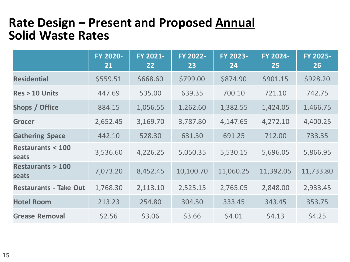#### **Rate Design – Present and Proposed Annual Solid Waste Rates**

|                                      | FY 2020-<br><u>21</u> | FY 2021-<br>22 | FY 2022-<br>23 | FY 2023-<br>24 | FY 2024-<br>25 | FY 2025-<br><b>26</b> |
|--------------------------------------|-----------------------|----------------|----------------|----------------|----------------|-----------------------|
| <b>Residential</b>                   | \$559.51              | \$668.60       | \$799.00       | \$874.90       | \$901.15       | \$928.20              |
| <b>Res &gt; 10 Units</b>             | 447.69                | 535.00         | 639.35         | 700.10         | 721.10         | 742.75                |
| <b>Shops / Office</b>                | 884.15                | 1,056.55       | 1,262.60       | 1,382.55       | 1,424.05       | 1,466.75              |
| <b>Grocer</b>                        | 2,652.45              | 3,169.70       | 3,787.80       | 4,147.65       | 4,272.10       | 4,400.25              |
| <b>Gathering Space</b>               | 442.10                | 528.30         | 631.30         | 691.25         | 712.00         | 733.35                |
| <b>Restaurants &lt; 100</b><br>seats | 3,536.60              | 4,226.25       | 5,050.35       | 5,530.15       | 5,696.05       | 5,866.95              |
| <b>Restaurants &gt; 100</b><br>seats | 7,073.20              | 8,452.45       | 10,100.70      | 11,060.25      | 11,392.05      | 11,733.80             |
| <b>Restaurants - Take Out</b>        | 1,768.30              | 2,113.10       | 2,525.15       | 2,765.05       | 2,848.00       | 2,933.45              |
| <b>Hotel Room</b>                    | 213.23                | 254.80         | 304.50         | 333.45         | 343.45         | 353.75                |
| <b>Grease Removal</b>                | \$2.56                | \$3.06         | \$3.66         | \$4.01         | \$4.13         | \$4.25                |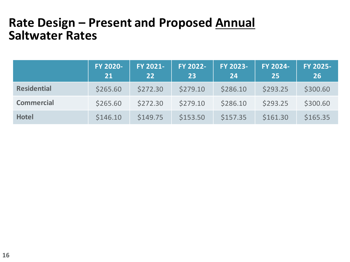#### **Rate Design – Present and Proposed Annual Saltwater Rates**

|                    | FY 2020-<br>21 | FY 2021-<br>$22 \overline{)}$ | FY 2022-<br>23 | FY 2023-<br>24 | FY 2024-<br>25 <sub>1</sub> | FY 2025-<br><b>26</b> |
|--------------------|----------------|-------------------------------|----------------|----------------|-----------------------------|-----------------------|
| <b>Residential</b> | \$265.60       | \$272.30                      | \$279.10       | \$286.10       | \$293.25                    | \$300.60              |
| <b>Commercial</b>  | \$265.60       | \$272.30                      | \$279.10       | \$286.10       | \$293.25                    | \$300.60              |
| <b>Hotel</b>       | \$146.10       | \$149.75                      | \$153.50       | \$157.35       | \$161.30                    | \$165.35              |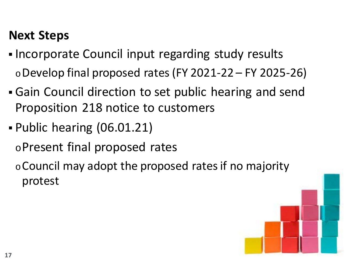#### **Next Steps**

- Incorporate Council input regarding study results  $\circ$  Develop final proposed rates (FY 2021-22 – FY 2025-26)
- Gain Council direction to set public hearing and send Proposition 218 notice to customers
- Public hearing (06.01.21)

oPresent final proposed rates

<sup>o</sup>Council may adopt the proposed rates if no majority protest

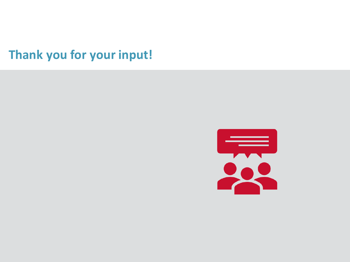**Thank you for your input!**

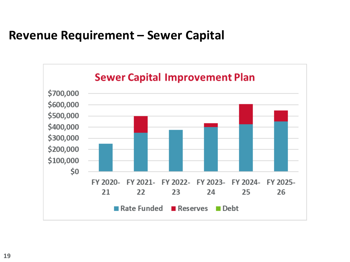#### **Revenue Requirement – Sewer Capital**

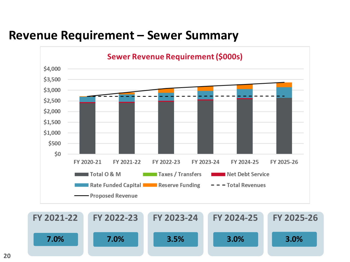#### **Revenue Requirement – Sewer Summary**



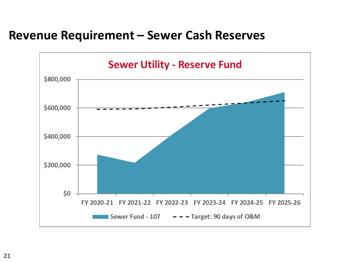#### **Revenue Requirement – Sewer Cash Reserves**

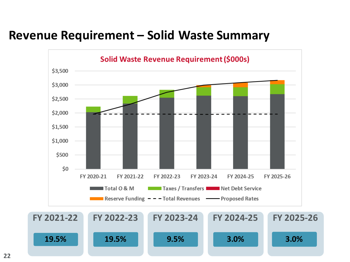#### **Revenue Requirement – Solid Waste Summary**

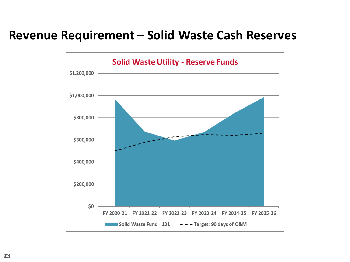#### **Revenue Requirement – Solid Waste Cash Reserves**

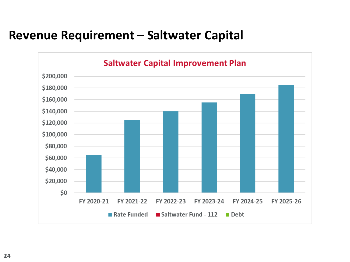#### **Revenue Requirement – Saltwater Capital**

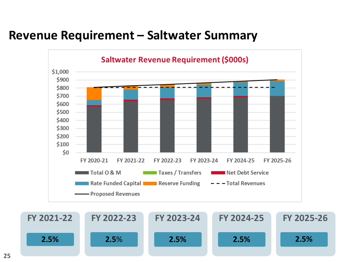#### **Revenue Requirement – Saltwater Summary**



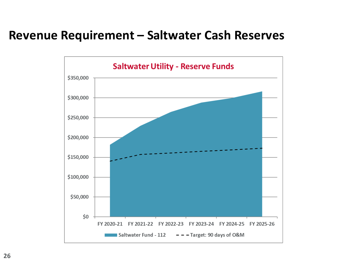#### **Revenue Requirement – Saltwater Cash Reserves**

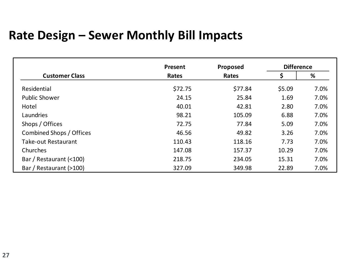#### **Rate Design – Sewer Monthly Bill Impacts**

|                          | Present | Proposed | <b>Difference</b> |      |
|--------------------------|---------|----------|-------------------|------|
| <b>Customer Class</b>    | Rates   | Rates    | \$                | %    |
| Residential              | \$72.75 | \$77.84  | \$5.09            | 7.0% |
| <b>Public Shower</b>     | 24.15   | 25.84    | 1.69              | 7.0% |
| Hotel                    | 40.01   | 42.81    | 2.80              | 7.0% |
| Laundries                | 98.21   | 105.09   | 6.88              | 7.0% |
| Shops / Offices          | 72.75   | 77.84    | 5.09              | 7.0% |
| Combined Shops / Offices | 46.56   | 49.82    | 3.26              | 7.0% |
| Take-out Restaurant      | 110.43  | 118.16   | 7.73              | 7.0% |
| Churches                 | 147.08  | 157.37   | 10.29             | 7.0% |
| Bar / Restaurant (<100)  | 218.75  | 234.05   | 15.31             | 7.0% |
| Bar / Restaurant (>100)  | 327.09  | 349.98   | 22.89             | 7.0% |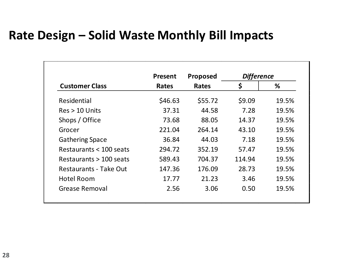#### **Rate Design – Solid Waste Monthly Bill Impacts**

|                         | <b>Present</b> | <b>Proposed</b> | <b>Difference</b> |       |  |
|-------------------------|----------------|-----------------|-------------------|-------|--|
| <b>Customer Class</b>   | <b>Rates</b>   | <b>Rates</b>    | \$                | %     |  |
| Residential             | \$46.63        | \$55.72         | \$9.09            | 19.5% |  |
| $Res > 10$ Units        | 37.31          | 44.58           | 7.28              | 19.5% |  |
| Shops / Office          | 73.68          | 88.05           | 14.37             | 19.5% |  |
| Grocer                  | 221.04         | 264.14          | 43.10             | 19.5% |  |
| <b>Gathering Space</b>  | 36.84          | 44.03           | 7.18              | 19.5% |  |
| Restaurants < 100 seats | 294.72         | 352.19          | 57.47             | 19.5% |  |
| Restaurants > 100 seats | 589.43         | 704.37          | 114.94            | 19.5% |  |
| Restaurants - Take Out  | 147.36         | 176.09          | 28.73             | 19.5% |  |
| <b>Hotel Room</b>       | 17.77          | 21.23           | 3.46              | 19.5% |  |
| Grease Removal          | 2.56           | 3.06            | 0.50              | 19.5% |  |